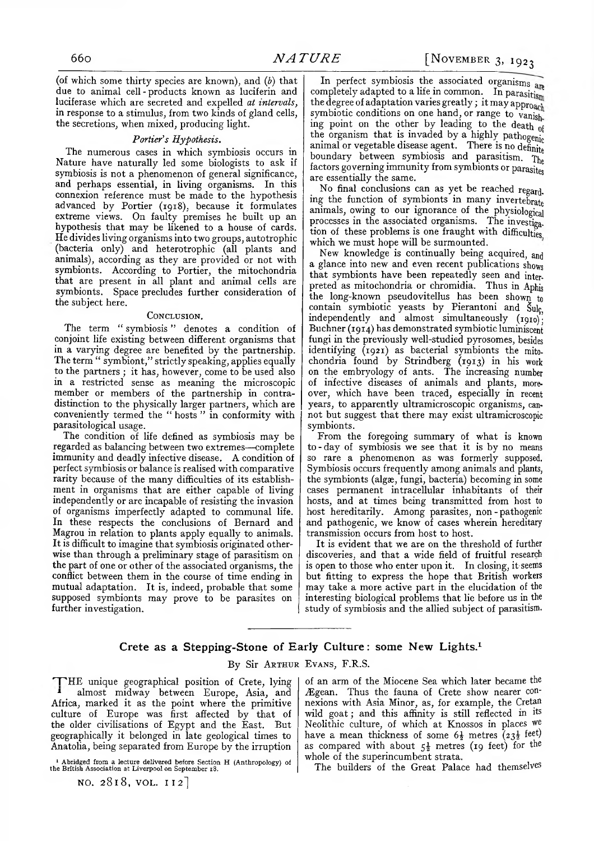(of which some thirty species are known), and (*b*) that due to animal cell - products known as luciferin and luciferase which are secreted and expelled *at intervals,* in response to a stimulus, from two kinds of gland cells, the secretions, when mixed, producing light.

## *Portier's Hypothesis.*

The numerous cases in which symbiosis occurs in Nature have naturally led some biologists to ask if symbiosis is not a phenomenon of general significance, and perhaps essential, in living organisms. In this connexion reference must be made to the hypothesis advanced by Portier (1918), because it formulates extreme views. On faulty premises he built up an hypothesis that may be likened to a house of cards. He divides living organisms into two groups, autotrophic (bacteria only) and heterotrophic (all plants and animals), according as they are provided or not with symbionts. According to Portier, the mitochondria that are present in all plant and animal cells are symbionts. Space precludes further consideration of the subject here.

## **Conclusion.**

The term *"* symbiosis " denotes a condition of conjoint life existing between different organisms that in a varying degree are benefited by the partnership. The term " symbiont," strictly speaking, applies equally to the partners ; it has, however, come to be used also in a restricted sense as meaning the microscopic member or members of the partnership in contradistinction to the physically larger partners, which are conveniently termed the " hosts " in conformity with parasitological usage.

The condition of life defined as symbiosis may be regarded as balancing between two extremes— complete immunity and deadly infective disease. A condition of perfect symbiosis or balance is realised with comparative rarity because of the many difficulties of its establishment in organisms that are either capable of living independently or are incapable of resisting the invasion of organisms imperfectly adapted to communal life. In these respects the conclusions of Bernard and Magrou in relation to plants apply equally to animals. It is difficult to imagine that symbiosis originated otherwise than through a preliminary stage of parasitism on the part of one or other of the associated organisms, the conflict between them in the course of time ending in mutual adaptation. It is, indeed, probable that some supposed symbionts may prove to be parasites on further investigation.

In perfect symbiosis the associated organisms are completely adapted to a life in common. In parasitism the degree of adaptation varies greatly; it may approach symbiotic conditions on one hand, or range to vanish ing point on the other by leading to the death of the organism that is invaded by a highly pathogenic animal or vegetable disease agent. There is no definite boundary between symbiosis and parasitism. The factors governing immunity from symbionts or parasites are essentially the same.

No final conclusions can as yet be reached regarding the function of symbionts in many invertebrate animals, owing to our ignorance of the physiological processes in the associated organisms. The investigation of these problems is one fraught with difficulties which we must hope will be surmounted.

New knowledge is continually being acquired, and a glance into new and even recent publications shows that symbionts have been repeatedly seen and interpreted as mitochondria or chromidia. Thus in Aphis the long-known pseudovitellus has been shown to contain symbiotic yeasts by Pierantoni and §ulç, independently and almost simultaneously (1910); Buchner (1914) has demonstrated symbiotic luminiscent fungi in the previously well-studied pyrosomes, besides identifying (1921) as bacterial symbionts the mitochondria found by Strindberg (1913) in his work on the embryology of ants. The increasing number of infective diseases of animals and plants, moreover, which have been traced, especially in recent years, to apparently ultramicroscopic organisms, cannot but suggest that there may exist ultramicroscopic symbionts.

From the foregoing summary of what is known to-day of symbiosis we see that it is by no means so rare a phenomenon as was formerly supposed. Symbiosis occurs frequently among animals and plants, the symbionts (algæ, fungi, bacteria) becoming in some cases permanent intracellular inhabitants of their hosts, and at times being transmitted from host to host hereditarily. Among parasites, non - pathogenic and pathogenic, we know of cases wherein hereditary transmission occurs from host to host.

It is evident that we are on the threshold of further discoveries, and that a wide field of fruitful research is open to those who enter upon it. In closing, it seems but fitting to express the hope that British workers may take a more active part in the elucidation of the interesting biological problems that lie before us in the study of symbiosis and the allied subject of parasitism.

## **Crete as a Stepping-Stone of Early Culture: some New Lights**.1

## By Sir **A rthur Evans,** F.R.S.

THE unique geographical position of Crete, lying almost midway between Europe, Asia, and Africa, marked it as the point where the primitive culture of Europe was first affected by that of the older civilisations of Egypt and the East. But geographically it belonged in late geological times to Anatolia, being separated from Europe by the irruption

1 Abridged from a lecture delivered before Section **H** (Anthropology) of the British Association at Liverpool on September 18.

**NO.** 2818, **VOL. I I 2 ]**

of an arm of the Miocene Sea which later became the Ægean. Thus the fauna of Crete show nearer connexions with Asia Minor, as, for example, the **Cretan** wild goat; and this affinity is still reflected in its Neolithic culture, of which at Knossos in places we have a mean thickness of some  $6\frac{1}{2}$  metres  $\left(23\frac{1}{2} \text{ feet}\right)$ as compared with about  $5\frac{1}{2}$  metres (19 feet) for the whole of the superincumbent strata.

The builders of the Great Palace had themselves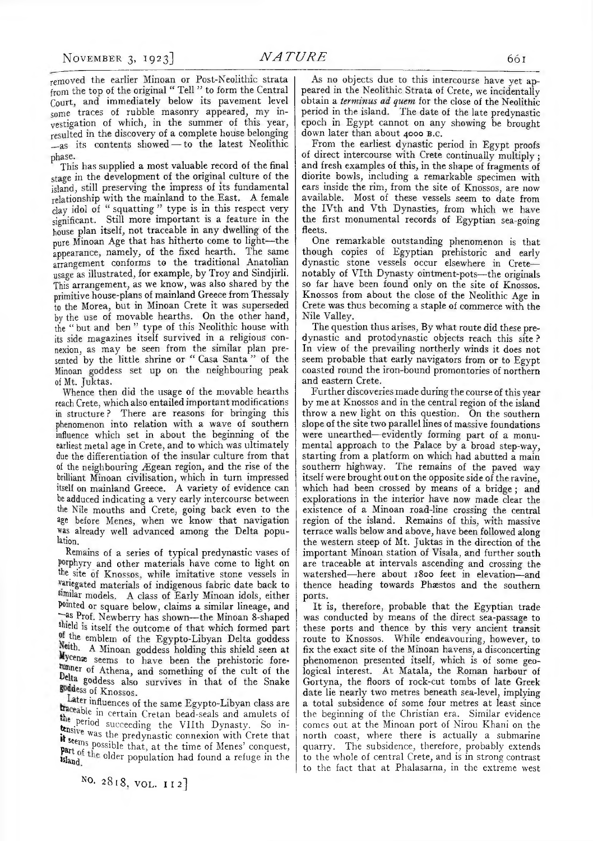removed the earlier Minoan or Post-Neolithic strata from the top of the original *"* Tell " to form the Central Court, and immediately below its pavement level some traces of rubble masonry appeared; my investigation of which; in the summer of this year; resulted in the discovery of a complete house belonging \_as its contents showed — to the latest Neolithic phase.

This has supplied a most valuable record of the final stage in the development of the original culture of the island; still preserving the impress of its fundamental relationship with the mainland to the East. A female clay idol of " squatting " type is in this respect very significant. Still more important is a feature in the house plan itself; not traceable in any dwelling of the pure Minoan Age that has hitherto come to light— the appearance; namely; of the fixed hearth. The same arrangement conforms to the traditional Anatolian usage as illustrated, for example, by Troy and Sindjirli. This arrangement; as we know; was also shared by the primitive house-plans of mainland Greece from Thessaly to the Morea, but in Minoan Crete it was superseded by the use of movable hearths. On the other hand, the " but and ben " type of this Neolithic house with its side magazines itself survived in a religious connexion; as may be seen from the similar plan presented by the little shrine or " Casa Santa " of the Minoan goddess set up on the neighbouring peak of Mt, Juktas.

Whence then did the usage of the movable hearths reach Crete, which also entailed important modifications in structure? There are reasons for bringing this phenomenon into relation with a wave of southern influence which set in about the beginning of the earliest metal age in Crete, and to which was ultimately due the differentiation of the insular culture from that of the neighbouring Ægean region, and the rise of the brilliant Minoan civilisation, which in turn impressed itself on mainland Greece. A variety of evidence can be adduced indicating a very early intercourse between the Nile mouths and Crete, going back even to the age before Menes, when we know that navigation was already well advanced among the Delta population.

Remains of a series of typical predynastic vases of porphyry and other materials have come to light on the site of Knossos, while imitative stone vessels in variegated materials of indigenous fabric date back to similar models. A class of Early Minoan idols, either pointed or square below, claims a similar lineage, and "~as Prof. Newberry has shown— the Minoan 8-shaped shield is itself the outcome of that which formed part of the emblem of the Egypto-Libyan Delta goddess Neith. A Minoan goddess holding this shield seen at Wycenæ seems to have been the prehistoric forelunner of Athena, and something of the cult of the belta goddess also survives in that of the Snake goddess of Knossos.

Later influences of the same Egypto-Libyan class are  $\frac{traceable}{dt}$  in certain Cretan bead-seals and amulets of the period succeeding the VIIth Dynasty. So in- $\frac{t_{\text{msive}}}{t_{\text{cm}}}$  was the predynastic connexion with Crete that it seems possible that, at the time of Menes' conquest, Part of the older population had found a refuge in the

NO. 2818, VOL. II<sub>2</sub>]

As no objects due to this intercourse have yet appeared in the Neolithic Strata of Crete, we incidentally obtain a *terminus ad quem* for the close of the Neolithic period in the island. The date of the late predynastic epoch in Egypt cannot on any showing be brought down later than about 4000 B.C.

From the earliest dynastic period in Egypt proofs of direct intercourse with Crete continually multiply ; and fresh examples of this, in the shape of fragments of diorite bowls, including a remarkable specimen with ears inside the rim, from the site of Knossos, are now available. Most of these vessels seem to date from the IYth and Vth Dynasties, from which we have the first monumental records of Egyptian sea-going fleets.

One remarkable outstanding phenomenon is that though copies of Egyptian prehistoric and early dynastic stone vessels occur elsewhere in Crete notably of VIth Dynasty ointment-pots-the originals so far have been found only on the site of Knossos. Knossos from about the close of the Neolithic Age in Crete was thus becoming a staple of commerce with the Nile Valley.

The question thus arises, By what route did these predynastic and protodynastic objects reach this site ? In view of the prevailing northerly winds it does not seem probable that early navigators from or to Egypt coasted round the iron-bound promontories of northern and eastern Crete.

Further discoveries made during the course of this year by me at Knossos and in the central region of the island throw a new light on this question. On the southern slope of the site two parallel lines of massive foundations were unearthed— evidently forming part of a monumental approach to the Palace by a broad step-way, starting from a platform on which had abutted a main southern- highway. The remains of the paved way itself were brought out on the opposite side of the ravine, which had been crossed by means of a bridge ; and explorations in the interior have now made clear the existence of a Minoan road-line crossing the central region of the island. Remains of this, with massive terrace walls below and above, have been followed along the western steep of Mt. Juktas in the direction of the important Minoan station of Visala, and further south are traceable at intervals ascending and crossing the watershed— here about 1800 feet in elevation— and thence heading towards Phæstos and the southern ports.

It is, therefore, probable that the Egyptian trade was conducted by means of the direct sea-passage to these ports and thence by this very ancient transit route to Knossos. While endeavouring, however, to fix the exact site of the Minoan havens, a disconcerting phenomenon presented itself, which is of some geological interest. At Matala, the Roman harbour of Gortyna, the floors of rock-cut tombs of late Greek date lie nearly two metres beneath sea-level, implying a total subsidence of some four metres at least since the beginning of the Christian era. Similar evidence comes out at the Minoan port of Nirou Khani on the north coast, where there is actually a submarine quarry. The subsidence, therefore, probably extends to the whole of central Crete, and is in strong contrast to the fact that at Phalasarna, in the extreme west